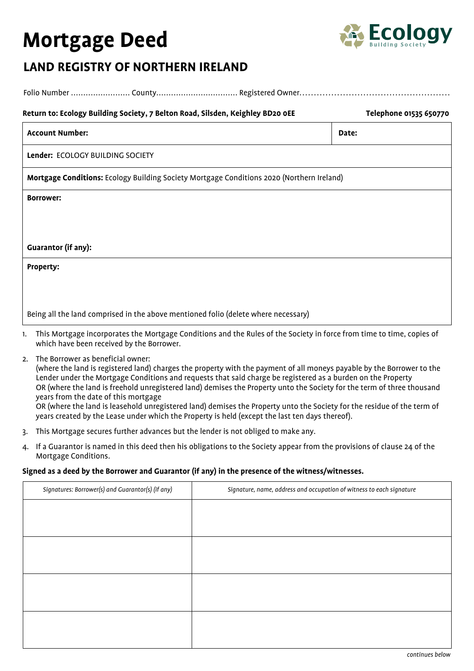# **Mortgage Deed**



# **LAND REGISTRY OF NORTHERN IRELAND**

| Return to: Ecology Building Society, 7 Belton Road, Silsden, Keighley BD20 OEE            | Telephone 01535 650770 |  |
|-------------------------------------------------------------------------------------------|------------------------|--|
| <b>Account Number:</b>                                                                    | Date:                  |  |
| Lender: ECOLOGY BUILDING SOCIETY                                                          |                        |  |
| Mortgage Conditions: Ecology Building Society Mortgage Conditions 2020 (Northern Ireland) |                        |  |
| <b>Borrower:</b>                                                                          |                        |  |
|                                                                                           |                        |  |
|                                                                                           |                        |  |
| <b>Guarantor (if any):</b>                                                                |                        |  |
| <b>Property:</b>                                                                          |                        |  |
|                                                                                           |                        |  |
|                                                                                           |                        |  |
| Being all the land comprised in the above mentioned folio (delete where necessary)        |                        |  |

- 1. This Mortgage incorporates the Mortgage Conditions and the Rules of the Society in force from time to time, copies of which have been received by the Borrower.
- 2. The Borrower as beneficial owner:

 (where the land is registered land) charges the property with the payment of all moneys payable by the Borrower to the Lender under the Mortgage Conditions and requests that said charge be registered as a burden on the Property OR (where the land is freehold unregistered land) demises the Property unto the Society for the term of three thousand years from the date of this mortgage OR (where the land is leasehold unregistered land) demises the Property unto the Society for the residue of the term of years created by the Lease under which the Property is held (except the last ten days thereof).

- 3. This Mortgage secures further advances but the lender is not obliged to make any.
- 4. If a Guarantor is named in this deed then his obligations to the Society appear from the provisions of clause 24 of the Mortgage Conditions.

#### **Signed as a deed by the Borrower and Guarantor (if any) in the presence of the witness/witnesses.**

| Signatures: Borrower(s) and Guarantor(s) (if any) | Signature, name, address and occupation of witness to each signature |
|---------------------------------------------------|----------------------------------------------------------------------|
|                                                   |                                                                      |
|                                                   |                                                                      |
|                                                   |                                                                      |
|                                                   |                                                                      |
|                                                   |                                                                      |
|                                                   |                                                                      |
|                                                   |                                                                      |
|                                                   |                                                                      |